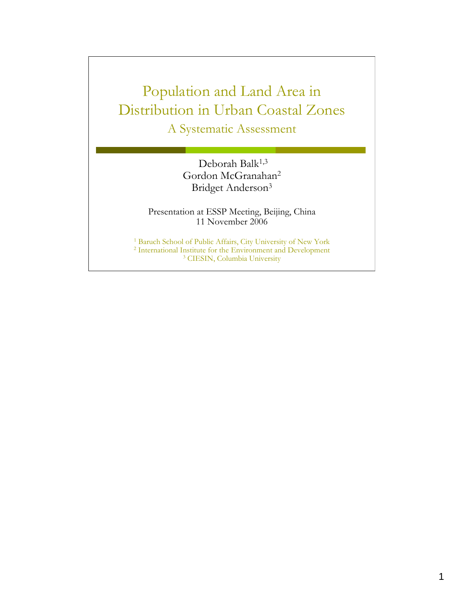## Population and Land Area in Distribution in Urban Coastal Zones A Systematic Assessment

Deborah Balk<sup>1,3</sup> Gordon McGranahan2 Bridget Anderson3

Presentation at ESSP Meeting, Beijing, China 11 November 2006

<sup>1</sup> Baruch School of Public Affairs, City University of New York  $2$  International Institute for the Environment and Development  $3$  CIESIN, Columbia University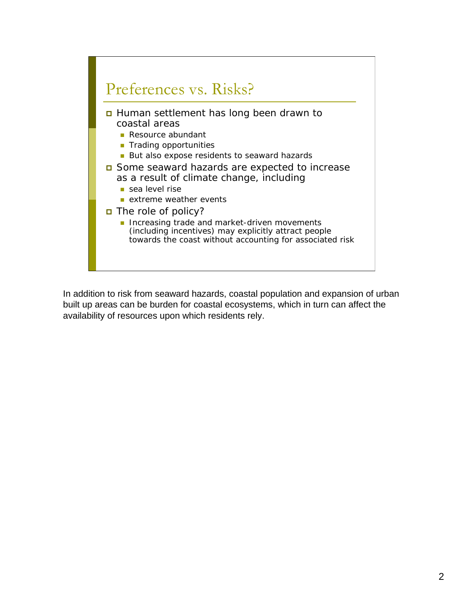

In addition to risk from seaward hazards, coastal population and expansion of urban built up areas can be burden for coastal ecosystems, which in turn can affect the availability of resources upon which residents rely.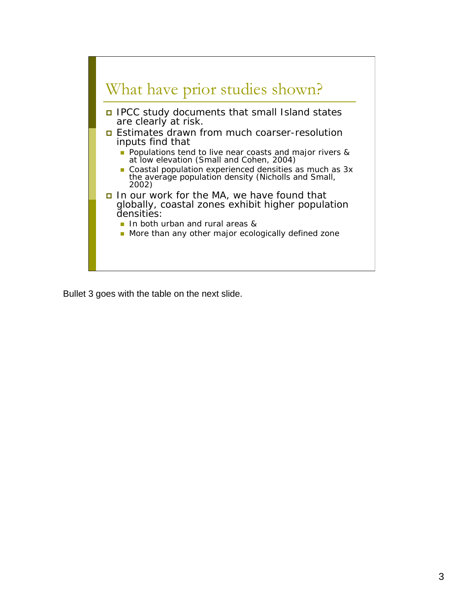

Bullet 3 goes with the table on the next slide.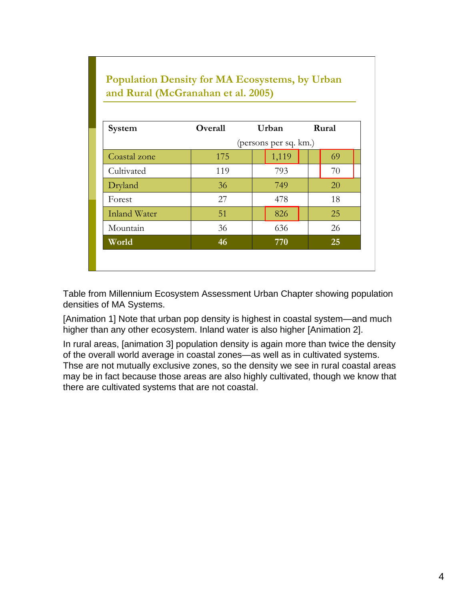#### **Population Density for MA Ecosystems, by Urban and Rural (McGranahan et al. 2005)**

| System              | Overall | Urban                 | Rural |  |  |  |
|---------------------|---------|-----------------------|-------|--|--|--|
|                     |         | (persons per sq. km.) |       |  |  |  |
| Coastal zone        | 175     | 1,119                 | 69    |  |  |  |
| Cultivated          | 119     | 793                   | 70    |  |  |  |
| Dryland             | 36      | 749                   | 20    |  |  |  |
| Forest              | 27      | 478                   | 18    |  |  |  |
| <b>Inland Water</b> | 51      | 826                   | 25    |  |  |  |
| Mountain            | 36      | 636                   | 26    |  |  |  |
| World               | 46      | 770                   | 25    |  |  |  |

Table from Millennium Ecosystem Assessment Urban Chapter showing population densities of MA Systems.

[Animation 1] Note that urban pop density is highest in coastal system—and much higher than any other ecosystem. Inland water is also higher [Animation 2].

In rural areas, [animation 3] population density is again more than twice the density of the overall world average in coastal zones—as well as in cultivated systems. Thse are not mutually exclusive zones, so the density we see in rural coastal areas may be in fact because those areas are also highly cultivated, though we know that there are cultivated systems that are not coastal.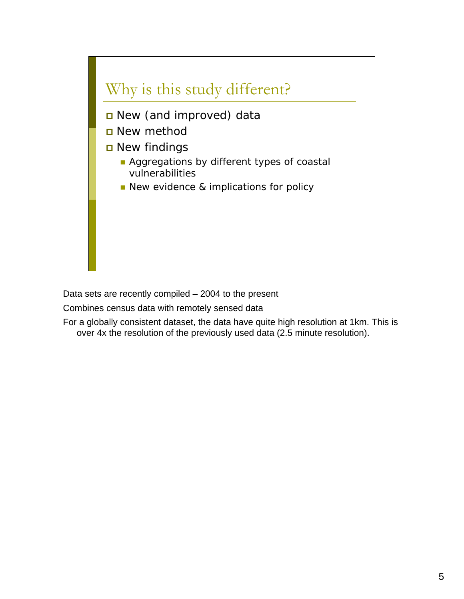

Data sets are recently compiled – 2004 to the present

Combines census data with remotely sensed data

For a globally consistent dataset, the data have quite high resolution at 1km. This is over 4x the resolution of the previously used data (2.5 minute resolution).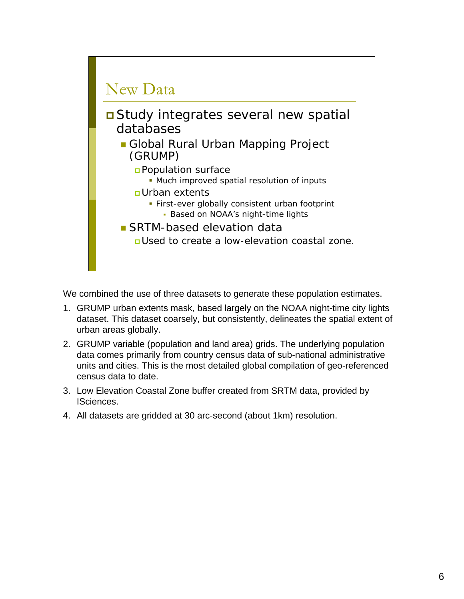

We combined the use of three datasets to generate these population estimates.

- 1. GRUMP urban extents mask, based largely on the NOAA night-time city lights dataset. This dataset coarsely, but consistently, delineates the spatial extent of urban areas globally.
- 2. GRUMP variable (population and land area) grids. The underlying population data comes primarily from country census data of sub-national administrative units and cities. This is the most detailed global compilation of geo-referenced census data to date.
- 3. Low Elevation Coastal Zone buffer created from SRTM data, provided by ISciences.
- 4. All datasets are gridded at 30 arc-second (about 1km) resolution.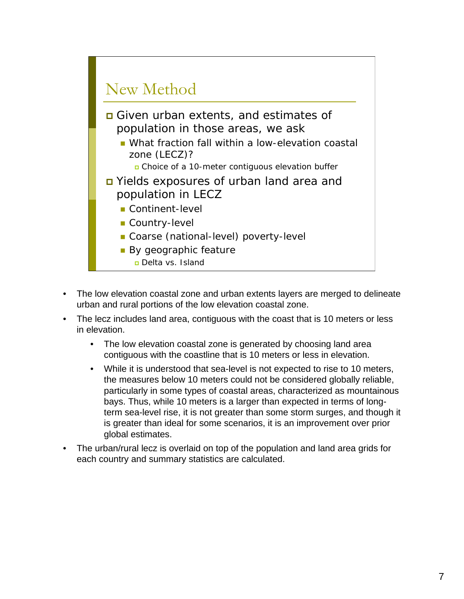

- The low elevation coastal zone and urban extents layers are merged to delineate urban and rural portions of the low elevation coastal zone.
- The lecz includes land area, contiguous with the coast that is 10 meters or less in elevation.
	- The low elevation coastal zone is generated by choosing land area contiguous with the coastline that is 10 meters or less in elevation.
	- While it is understood that sea-level is not expected to rise to 10 meters, the measures below 10 meters could not be considered globally reliable, particularly in some types of coastal areas, characterized as mountainous bays. Thus, while 10 meters is a larger than expected in terms of longterm sea-level rise, it is not greater than some storm surges, and though it is greater than ideal for some scenarios, it is an improvement over prior global estimates.
- The urban/rural lecz is overlaid on top of the population and land area grids for each country and summary statistics are calculated.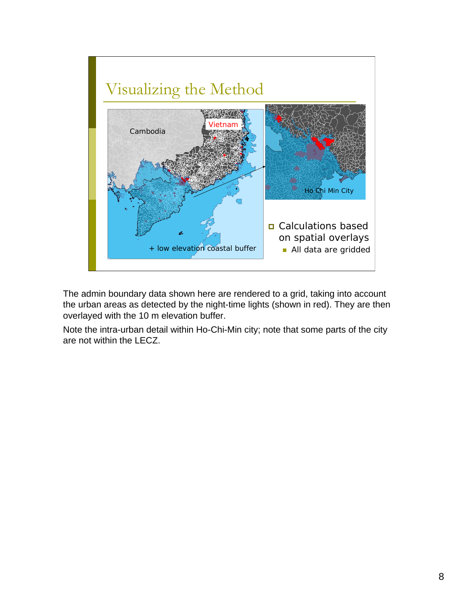

The admin boundary data shown here are rendered to a grid, taking into account the urban areas as detected by the night-time lights (shown in red). They are then overlayed with the 10 m elevation buffer.

Note the intra-urban detail within Ho-Chi-Min city; note that some parts of the city are not within the LECZ.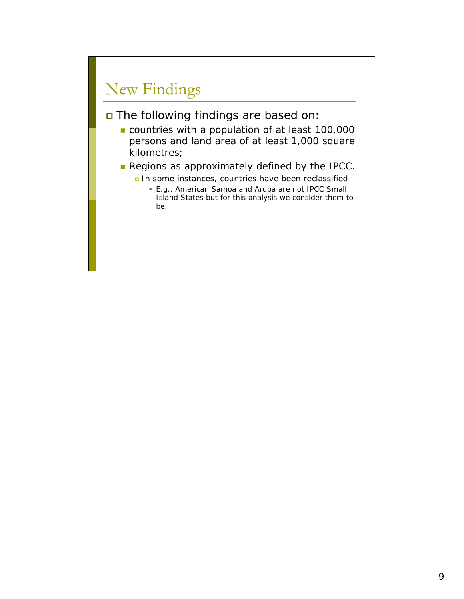# New Findings

The following findings are based on:

- countries with a population of at least 100,000 persons and land area of at least 1,000 square kilometres;
- Regions as approximately defined by the IPCC.
	- In some instances, countries have been reclassified
		- **E.g., American Samoa and Aruba are not IPCC Small** Island States but for this analysis we consider them to be.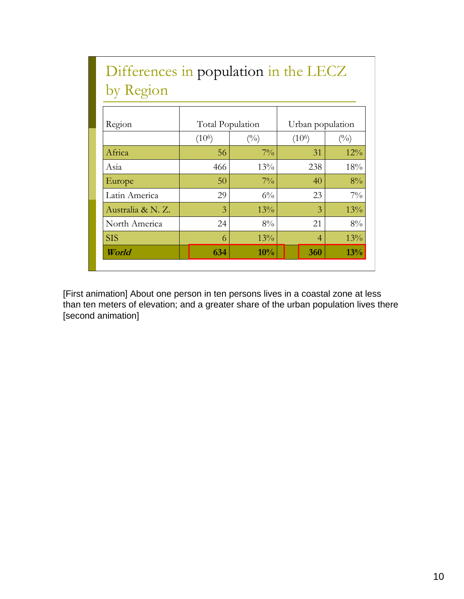| Differences in population in the LECZ |                             |       |                    |                |  |  |  |  |
|---------------------------------------|-----------------------------|-------|--------------------|----------------|--|--|--|--|
| by Region                             |                             |       |                    |                |  |  |  |  |
|                                       |                             |       |                    |                |  |  |  |  |
| Region                                | Total Population            |       | Urban population   |                |  |  |  |  |
|                                       | (10 <sup>6</sup> )<br>(0/0) |       | (10 <sup>6</sup> ) | $\binom{0}{0}$ |  |  |  |  |
| Africa                                | 56                          | $7\%$ | 31                 | $12\%$         |  |  |  |  |
| Asia                                  | 466                         | 13%   | 238                | 18%            |  |  |  |  |
| Europe                                | 50                          | $7\%$ | 40                 | $8\%$          |  |  |  |  |
| Latin America                         | 29                          | $6\%$ | 23                 | $7\%$          |  |  |  |  |
| Australia & N. Z.                     | 3                           | 13%   | 3                  | 13%            |  |  |  |  |

[First animation] About one person in ten persons lives in a coastal zone at less than ten meters of elevation; and a greater share of the urban population lives there [second animation]

*World* **634 10% 10% 360 13%** SIS 6  $13\%$  4 13%

North America 24 8% 21 8%

**10%** 13%  $8\%$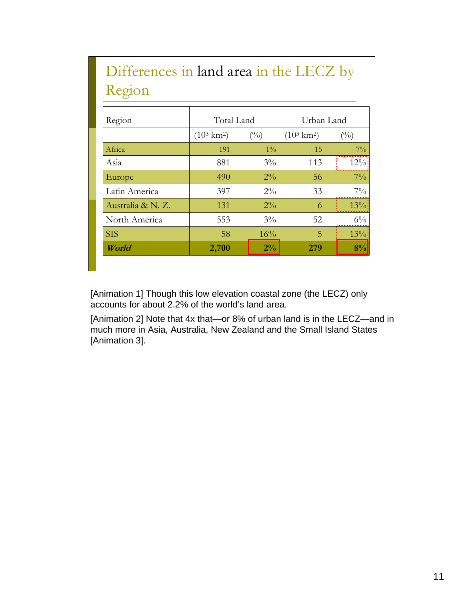| Differences in land area in the LECZ by<br>Region |                       |               |                       |                |  |  |  |
|---------------------------------------------------|-----------------------|---------------|-----------------------|----------------|--|--|--|
|                                                   |                       |               |                       |                |  |  |  |
| Region                                            |                       | Total Land    | Urban Land            |                |  |  |  |
|                                                   | $(10^3 \text{ km}^2)$ | $(^{0}/_{0})$ | $(10^3 \text{ km}^2)$ | $\binom{0}{0}$ |  |  |  |
| Africa                                            | 191                   | $1\%$         | 15                    | $7\%$          |  |  |  |
| Asia                                              | 881                   | $3\%$         | 113                   | 12%            |  |  |  |
| Europe                                            | 490                   | $2\%$         | 56                    | $7\%$          |  |  |  |
| Latin America                                     | 397                   | $2\%$         | 33                    | $7\%$          |  |  |  |
| Australia & N. Z.                                 | 131                   | $2\%$         | 6                     | 13%            |  |  |  |
| North America                                     | 553                   | $3\%$         | 52                    | $6\%$          |  |  |  |
| <b>SIS</b>                                        | 58                    | 16%           | 5                     | 13%            |  |  |  |
| World                                             | 2,700                 | $2\%$         | 279                   | 8%             |  |  |  |

# Differences in land area in the LECZ by

[Animation 1] Though this low elevation coastal zone (the LECZ) only accounts for about 2.2% of the world's land area.

[Animation 2] Note that 4x that—or 8% of urban land is in the LECZ—and in much more in Asia, Australia, New Zealand and the Small Island States [Animation 3].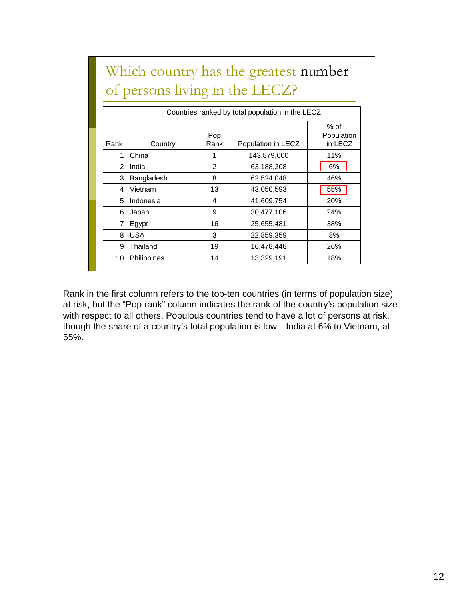|                                | Which country has the greatest number |
|--------------------------------|---------------------------------------|
| of persons living in the LECZ? |                                       |

|                | Countries ranked by total population in the LECZ |               |                    |                                 |  |  |
|----------------|--------------------------------------------------|---------------|--------------------|---------------------------------|--|--|
| Rank           | Country                                          | Pop<br>Rank   | Population in LECZ | $%$ of<br>Population<br>in LECZ |  |  |
| 1              | China                                            |               | 143,879,600        | 11%                             |  |  |
| $\mathfrak{p}$ | India                                            | $\mathcal{P}$ | 63,188,208         | 6%                              |  |  |
| 3              | Bangladesh                                       | 8             | 62,524,048         | 46%                             |  |  |
| 4              | Vietnam                                          | 13            | 43,050,593         | 55%                             |  |  |
| 5              | Indonesia                                        | 4             | 41,609,754         | 20%                             |  |  |
| 6              | Japan                                            | 9             | 30,477,106         | 24%                             |  |  |
| 7              | Egypt                                            | 16            | 25,655,481         | 38%                             |  |  |
| 8              | <b>USA</b>                                       | 3             | 22,859,359         | 8%                              |  |  |
| 9              | Thailand                                         | 19            | 16,478,448         | 26%                             |  |  |
| 10             | <b>Philippines</b>                               | 14            | 13,329,191         | 18%                             |  |  |

Rank in the first column refers to the top-ten countries (in terms of population size) at risk, but the "Pop rank" column indicates the rank of the country's population size with respect to all others. Populous countries tend to have a lot of persons at risk, though the share of a country's total population is low—India at 6% to Vietnam, at 55%.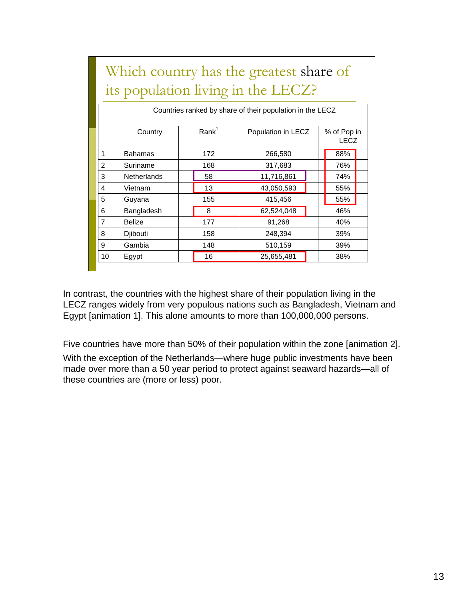| Which country has the greatest share of |                                                           |                   |                   |                              |  |                            |  |  |  |
|-----------------------------------------|-----------------------------------------------------------|-------------------|-------------------|------------------------------|--|----------------------------|--|--|--|
| its population living in the LECZ?      |                                                           |                   |                   |                              |  |                            |  |  |  |
|                                         | Countries ranked by share of their population in the LECZ |                   |                   |                              |  |                            |  |  |  |
|                                         | Country                                                   |                   | Rank <sup>1</sup> | Population in LECZ           |  | % of Pop in<br><b>LECZ</b> |  |  |  |
| 1                                       | Bahamas                                                   |                   | 172               | 266,580                      |  | 88%                        |  |  |  |
| $\overline{2}$                          | Suriname                                                  |                   | 168               | 317,683                      |  | 76%                        |  |  |  |
| 3                                       | <b>Netherlands</b>                                        |                   | 58                | 11,716,861                   |  | 74%                        |  |  |  |
| 4                                       | Vietnam                                                   |                   | 13                | 43,050,593                   |  | 55%                        |  |  |  |
| 5                                       | Guyana                                                    |                   | 155               | 415,456                      |  | 55%                        |  |  |  |
| 6                                       | Bangladesh                                                |                   | 8                 | 62,524,048                   |  | 46%                        |  |  |  |
| $\overline{7}$                          | <b>Belize</b>                                             | 177<br>158<br>148 |                   | 91,268<br>248,394<br>510,159 |  | 40%<br>39%<br>39%          |  |  |  |
| 8                                       | Djibouti                                                  |                   |                   |                              |  |                            |  |  |  |
| 9                                       | Gambia                                                    |                   |                   |                              |  |                            |  |  |  |
| 10                                      | Egypt                                                     |                   | 16                | 25,655,481                   |  | 38%                        |  |  |  |
|                                         |                                                           |                   |                   |                              |  |                            |  |  |  |

Which country has the greatest share of

In contrast, the countries with the highest share of their population living in the LECZ ranges widely from very populous nations such as Bangladesh, Vietnam and Egypt [animation 1]. This alone amounts to more than 100,000,000 persons.

Five countries have more than 50% of their population within the zone [animation 2]. With the exception of the Netherlands—where huge public investments have been made over more than a 50 year period to protect against seaward hazards—all of these countries are (more or less) poor.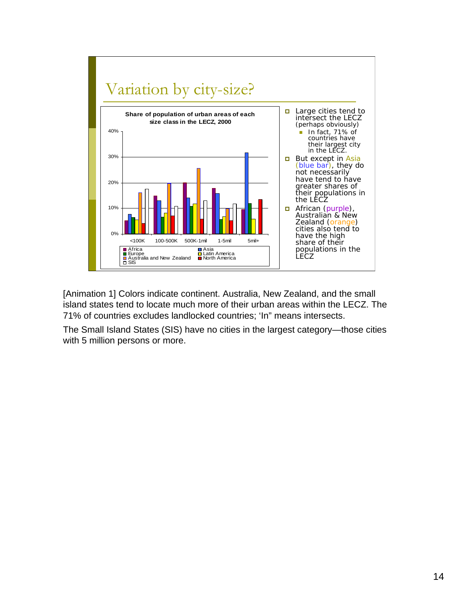

[Animation 1] Colors indicate continent. Australia, New Zealand, and the small island states tend to locate much more of their urban areas within the LECZ. The 71% of countries excludes landlocked countries; 'In" means intersects.

The Small Island States (SIS) have no cities in the largest category—those cities with 5 million persons or more.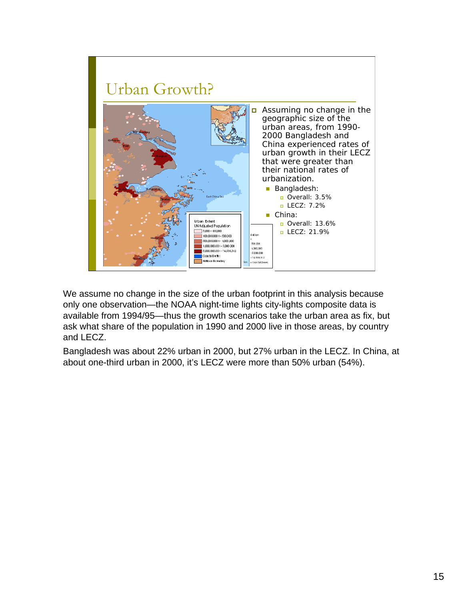

We assume no change in the size of the urban footprint in this analysis because only one observation—the NOAA night-time lights city-lights composite data is available from 1994/95—thus the growth scenarios take the urban area as fix, but ask what share of the population in 1990 and 2000 live in those areas, by country and LECZ.

Bangladesh was about 22% urban in 2000, but 27% urban in the LECZ. In China, at about one-third urban in 2000, it's LECZ were more than 50% urban (54%).